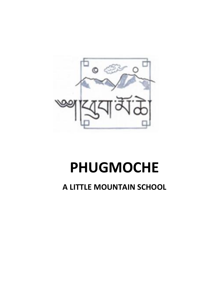

# **PHUGMOCHE**

## **A LITTLE MOUNTAIN SCHOOL**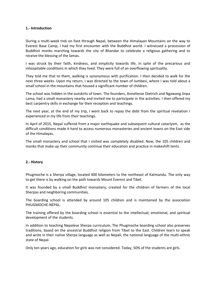#### **1.- Introduction**

During a multi-week trek on foot through Nepal, between the Himalayan Mountains on the way to Everest Base Camp, I had my first encounter with the Buddhist world. I witnessed a procession of Buddhist monks marching towards the city of Bhandar to celebrate a religious gathering and to receive the blessing of the lamas.

I was struck by their faith, kindness, and simplicity towards life, in spite of the precarious and inhospitable conditions in which they lived. They were full of an overflowing spirituality.

They told me that to them, walking is synonymous with purification. I then decided to walk for the next three weeks. Upon my return, I was directed to the town of Jumbesi, where I was told about a small school in the mountains that housed a significant number of children.

The school was hidden in the outskirts of town. The founders, Anneliesse Dietrich and Ngawang Jinpa Lama, had a small monastery nearby and invited me to participate in the activities. I then offered my best carpentry skills in exchange for their reception and teachings.

The next year, at the end of my trip, I went back to repay the debt from the spiritual revelation I experienced in my life from their teachings.

In April of 2015, Nepal suffered from a major earthquake and subsequent cultural cataclysm, as the difficult conditions made it hard to access numerous monasteries and ancient towns on the East side of the Himalayas.

The small monastery and school that I visited was completely disabled. Now, the 105 children and monks that make up their community continue their education and practice in makeshift tents.

#### **2.- History**

Phugmoche is a Sherpa village, located 400 kilometers to the northeast of Katmandu. The only way to get there is by walking on the path towards Mount Everest and Tibet.

It was founded by a small Buddhist monastery, created for the children of farmers of the local Sherpas and neighboring communities.

The boarding school is attended by around 105 children and is maintained by the association PHUGMOCHE-NEPAL.

The training offered by the boarding school is essential to the intellectual, emotional, and spiritual development of the students.

In addition to teaching Nepalese Sherpa curriculum, The Phugmoche boarding school also preserves traditions, based on the ancestral Buddhist religion from Tibet to the East. Children learn to speak and write in their native Sherpa language as well as Nepali, the national language of the multi-ethnic state of Nepal.

Only ten years ago, education for girls was not considered. Today, 50% of the students are girls.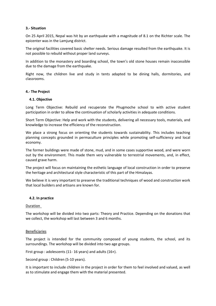#### **3.- Situation**

On 25 April 2015, Nepal was hit by an earthquake with a magnitude of 8.1 on the Richter scale. The epicenter was in the Lamjung district.

The original facilities covered basic shelter needs. Serious damage resulted from the earthquake. It is not possible to rebuild without proper land surveys.

In addition to the monastery and boarding school, the town's old stone houses remain inaccessible due to the damage from the earthquake.

Right now, the children live and study in tents adapted to be dining halls, dormitories, and classrooms.

#### **4.- The Project**

#### **4.1. Objective**

Long Term Objective: Rebuild and recuperate the Phugmoche school to with active student participation in order to allow the continuation of scholarly activities in adequate conditions.

Short Term Objective: Help and work with the students, delivering all necessary tools, materials, and knowledge to increase the efficiency of the reconstruction.

We place a strong focus on orienting the students towards sustainability. This includes teaching planning concepts grounded in permaculture principles while promoting self-sufficiency and local economy.

The former buildings were made of stone, mud, and in some cases supportive wood, and were worn out by the environment. This made them very vulnerable to terrestrial movements, and, in effect, caused grave harm.

The project will focus on maintaining the esthetic language of local construction in order to preserve the heritage and architectural style characteristic of this part of the Himalayas.

We believe it is very important to preserve the traditional techniques of wood and construction work that local builders and artisans are known for.

#### **4.2. In practice**

#### Duration

The workshop will be divided into two parts: Theory and Practice. Depending on the donations that we collect, the workshop will last between 3 and 6 months.

#### Beneficiaries

The project is intended for the community composed of young students, the school, and its surroundings. The workshop will be divided into two age groups.

First group : adolescents (11- 16 years) and adults (16+).

Second group : Children (5-10 years).

It is important to include children in the project in order for them to feel involved and valued, as well as to stimulate and engage them with the material presented.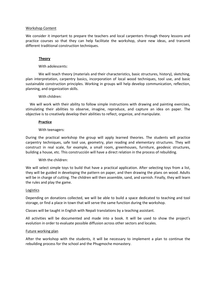#### Workshop Content

We consider it important to prepare the teachers and local carpenters through theory lessons and practice courses so that they can help facilitate the workshop, share new ideas, and transmit different traditional construction techniques.

#### **Theory**

#### With adolescents:

We will teach theory (materials and their characteristics, basic structures, history), sketching, plan interpretation, carpentry basics, incorporation of local wood techniques, tool use, and basic sustainable construction principles. Working in groups will help develop communication, reflection, planning, and organization skills.

#### With children:

 We will work with their ability to follow simple instructions with drawing and painting exercises, stimulating their abilities to observe, imagine, reproduce, and capture an idea on paper. The objective is to creatively develop their abilities to reflect, organize, and manipulate.

#### **Practice**

#### With teenagers:

During the practical workshop the group will apply learned theories. The students will practice carpentry techniques, safe tool use, geometry, plan reading and elementary structures. They will construct in real scale, for example, a small room, greenhouses, furniture, geodesic structures, building a house, etc. This construcción will have a direct relation in the process of rebuilding.

#### With the children:

We will select simple toys to build that have a practical application. After selecting toys from a list, they will be guided in developing the pattern on paper, and then drawing the plans on wood. Adults will be in charge of cutting. The children will then assemble, sand, and varnish. Finally, they will learn the rules and play the game.

#### Logistics

Depending on donations collected, we will be able to build a space dedicated to teaching and tool storage, or find a place in town that will serve the same function during the workshop.

Classes will be taught in English with Nepali translations by a teaching assistant.

All activities will be documented and made into a book. It will be used to show the project's evolution in order to evaluate possible diffusion across other sectors and locales.

#### Future working plan

After the workshop with the students, it will be necessary to implement a plan to continue the rebuilding process for the school and the Phugmoche monastery.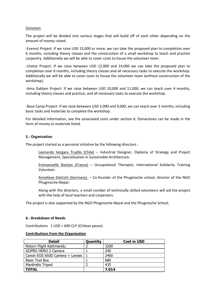#### Donation

The project will be divided into various stages that will build off of each other depending on the amount of money raised.

-Everest Project: If we raise USD 15,000 or more, we can take the proposed plan to completion over 6 months, including theory classes and the construction of a small workshop to teach and practice carpentry. Additionally we will be able to cover costs to house the volunteer team.

-Lhotse Project: If we raise between USD 12,000 and 14,000 we can take the proposed plan to completion over 6 months, including theory classes and all necessary tasks to execute the workshop. Additionally we will be able to cover costs to house the volunteer team (without construction of the workshop).

-Ama Dablam Project: If we raise between USD 10,000 and 11,000, we can teach over 4 months, including theory classes and practice, and all necessary tasks to execute the workshop.

-Base Camp Project: If we raise between USD 5,000 and 9,000, we can teach over 3 months, including basic tasks and materials to complete the workshop.

For detailed information, see the associated costs under section 6. Donaciones can be made in the form of money or materials listed.

#### **5.- Organisation**

The project started as a personal initiative by the following directors :

Leonardo Vergara Trujillo (Chile) – Industrial Designer, Diploma of Strategy and Project Management, Specialisation in Sustainable Architecture.

Emmanuelle Bastian (France) – Occupational Therapist, International Solidarity Training Volunteer.

Anneliese Dietrich (Germany) – Co-founder of the Phugmoche school, director of the NGO Phugmoche-Nepal.

Along with the directors, a small number of technically skilled volunteers will aid the project with the help of local teachers and carpenters.

The project is also supported by the NGO Phugmoche-Nepal and the Phugmoche School.

#### **6.- Breakdown of Needs**

Contributions 1 USD = 690 CLP (Chilean pesos)

#### **Contributions from the Organization**

| <b>Detail</b>                  | Quantity | <b>Cost in USD</b> |
|--------------------------------|----------|--------------------|
| Return Flight Kathmandu        |          | 3200               |
| GOPRO HERO 2 Camera            |          | 240                |
| Canon EOS 650D Camera + Lenses |          | 2460               |
| Basic Tool Box                 |          | 680                |
| Manfrotto Tripod               |          | 435                |
| <b>TOTAL</b>                   |          | 7.014              |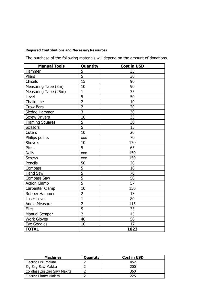### **Required Contributions and Necessary Resources**

The purchase of the following materials will depend on the amount of donations.

| <b>Manual Tools</b>    | Quantity       | <b>Cost in USD</b> |  |
|------------------------|----------------|--------------------|--|
| Hammer                 | 5              | 35                 |  |
| Pliers                 | $\overline{5}$ | 30                 |  |
| Chisels                | 15             | 90                 |  |
| Measuring Tape (3m)    | 10             | 90                 |  |
| Measuring Tape (25m)   | $\overline{1}$ | 35                 |  |
| Level                  | $\overline{5}$ | 50                 |  |
| Chalk Line             | $\overline{2}$ | 10                 |  |
| Crow Bars              | $\overline{2}$ | 20                 |  |
| Sledge Hammer          | $\overline{3}$ | 30                 |  |
| <b>Screw Drivers</b>   | 10             | 35                 |  |
| <b>Framing Squares</b> | 5              | 30                 |  |
| <b>Scissors</b>        | $\overline{5}$ | 15                 |  |
| Cuters                 | 10             | 20                 |  |
| Philips points         | <b>XXX</b>     | 70                 |  |
| Shovels                | 10             | 170                |  |
| <b>Picks</b>           | 5              | 65                 |  |
| <b>Nails</b>           | <b>XXX</b>     | 150                |  |
| <b>Screws</b>          | <b>XXX</b>     | 150                |  |
| Pencils                | 50             | 20                 |  |
| Compass                | 5              | 18                 |  |
| Hand Saw               | $\overline{5}$ | 70                 |  |
| Compass Saw            | 5              | 50                 |  |
| <b>Action Clamp</b>    | 5              | 57                 |  |
| Carpenter Clamp        | 10             | 150                |  |
| Rubber Hammer          | $\overline{2}$ | 13                 |  |
| Laser Level            | $\overline{1}$ | 80                 |  |
| Angle Measure          | $\overline{2}$ | 115                |  |
| <b>Files</b>           | $\overline{5}$ | 35                 |  |
| <b>Manual Scraper</b>  | $\overline{2}$ | 45                 |  |
| <b>Work Gloves</b>     | 40             | 58                 |  |
| Eye Goggles            | 10             | 17                 |  |
| <b>TOTAL</b>           |                | 1823               |  |

| <b>Machines</b>             | Quantity | <b>Cost in USD</b> |
|-----------------------------|----------|--------------------|
| Electric Drill Makita       |          | 452                |
| Zig Zag Saw Makita          |          | 200                |
| Cordless Zig Zag Saw Makita |          | 360                |
| Electric Planer Makita      |          | 225.               |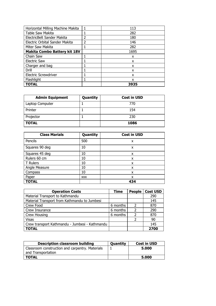| Horizontal Milling Machine Makita   |   | 113  |
|-------------------------------------|---|------|
| Table Saw Makita                    |   | 282  |
| ElectricBelt Sander Makita          | 2 | 180  |
| Electric Orbital Sander Makita      | 2 | 146  |
| Miter Saw Makita                    |   | 282  |
| <b>Makita Combo Battery kit 18V</b> |   | 1695 |
| Chain Saw                           |   | x    |
| <b>Electric Saw</b>                 |   | x    |
| Charger and bag                     |   | x    |
| Drill                               |   | x    |
| <b>Electric Screwdriver</b>         |   | x    |
| Flashlight                          |   | x    |
| <b>TOTAL</b>                        |   | 3935 |

| <b>Admin Equipment</b> | Quantity | <b>Cost in USD</b> |
|------------------------|----------|--------------------|
| Laptop Computer        |          | 770                |
| Printer                |          | 154                |
| Projector              |          | 230                |
| <b>TOTAL</b>           |          | 1086               |

| <b>Class Marials</b> | Quantity   | <b>Cost in USD</b> |
|----------------------|------------|--------------------|
| Pencils              | 500        | x                  |
| Squares 90 deg       | 10         | x                  |
| Squares 45 deg       | 10         | x                  |
| Rulers 60 cm         | 10         | x                  |
| T Rulers             | 10         | x                  |
| Angle Measure        | 10         | x                  |
| Compass              | 10         | x                  |
| Paper                | <b>XXX</b> | x                  |
| <b>TOTAL</b>         |            | 434                |

| <b>Operation Costs</b>                         | <b>Time</b> | <b>People</b>            | <b>Cost USD</b> |
|------------------------------------------------|-------------|--------------------------|-----------------|
| Material Transport to Kathmandu                |             |                          | 290             |
| Material Transport from Kathmandu to Jumbesi   |             |                          | 145             |
| Crew Food                                      | 6 months    | $\mathcal{P}$            | 870             |
| Crew Insurance                                 | 6 months    | $\overline{\phantom{a}}$ | 290             |
| Crew Housing                                   | 6 months    | $\overline{\phantom{a}}$ | 870             |
| <b>Visas</b>                                   |             | າ                        | 90              |
| Crew transport Kathmandu - Jumbesi - Kathmandu |             |                          | 145             |
| <b>TOTAL</b>                                   |             |                          | 2700            |

| <b>Description classroom building</b>           | <b>Quantity</b> | <b>Cost in USD</b> |
|-------------------------------------------------|-----------------|--------------------|
| Classroom construction and carpentry. Materials |                 | 5.000              |
| and Transportation                              |                 |                    |
| TOTAL                                           |                 | 5.000              |